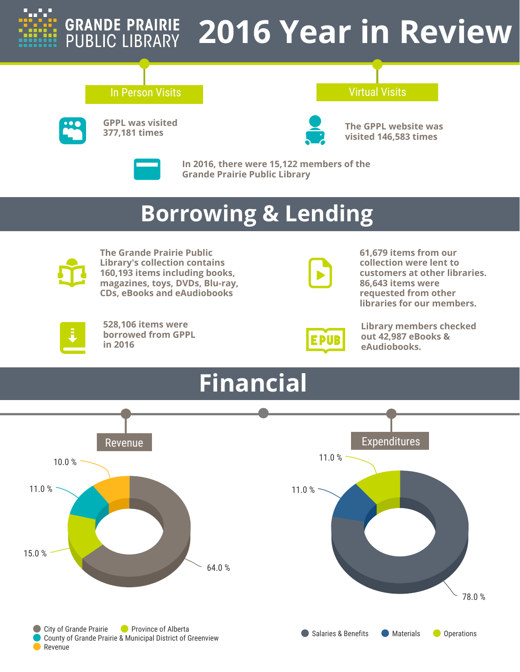

## **GRANDE PRAIRIE<br>PUBLIC LIBRARY 2016 Year in Review**

## **In Person Visits Contract Contract Contract Contract Contract Virtual Visits**



**GPPL was visited 377,181 times**



**The GPPL website was visited 146,583 times**



**In 2016, there were 15,122 members of the Grande Prairie Public Library**

# **Borrowing & Lending**



**The Grande Prairie Public Library's collection contains 160,193 items including books, magazines, toys, DVDs, Blu-ray, CDs, eBooks and eAudiobooks**



**61,679 items from our collection were lent to customers at other libraries. 86,643 items were requested from other libraries for our members.**



**528,106 items were borrowed from GPPL in 2016**



**Library members checked out 42,987 eBooks & eAudiobooks.**